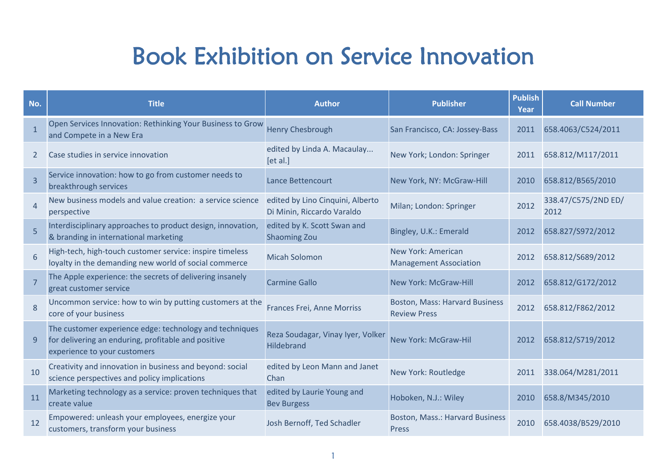## Book Exhibition on Service Innovation

| No.            | <b>Title</b>                                                                                                                                   | <b>Author</b>                                                  | <b>Publisher</b>                                             | <b>Publish</b><br>Year | <b>Call Number</b>          |
|----------------|------------------------------------------------------------------------------------------------------------------------------------------------|----------------------------------------------------------------|--------------------------------------------------------------|------------------------|-----------------------------|
| 1              | Open Services Innovation: Rethinking Your Business to Grow<br>and Compete in a New Era                                                         | <b>Henry Chesbrough</b>                                        | San Francisco, CA: Jossey-Bass                               | 2011                   | 658.4063/C524/2011          |
| 2              | Case studies in service innovation                                                                                                             | edited by Linda A. Macaulay<br>[et al.]                        | New York; London: Springer                                   | 2011                   | 658.812/M117/2011           |
| $\overline{3}$ | Service innovation: how to go from customer needs to<br>breakthrough services                                                                  | <b>Lance Bettencourt</b>                                       | New York, NY: McGraw-Hill                                    | 2010                   | 658.812/B565/2010           |
| $\overline{4}$ | New business models and value creation: a service science<br>perspective                                                                       | edited by Lino Cinquini, Alberto<br>Di Minin, Riccardo Varaldo | Milan; London: Springer                                      | 2012                   | 338.47/C575/2ND ED/<br>2012 |
| 5              | Interdisciplinary approaches to product design, innovation,<br>& branding in international marketing                                           | edited by K. Scott Swan and<br><b>Shaoming Zou</b>             | Bingley, U.K.: Emerald                                       | 2012                   | 658.827/S972/2012           |
| 6              | High-tech, high-touch customer service: inspire timeless<br>loyalty in the demanding new world of social commerce                              | <b>Micah Solomon</b>                                           | New York: American<br><b>Management Association</b>          | 2012                   | 658.812/S689/2012           |
| $\overline{7}$ | The Apple experience: the secrets of delivering insanely<br>great customer service                                                             | <b>Carmine Gallo</b>                                           | <b>New York: McGraw-Hill</b>                                 | 2012                   | 658.812/G172/2012           |
| 8              | Uncommon service: how to win by putting customers at the<br>core of your business                                                              | <b>Frances Frei, Anne Morriss</b>                              | <b>Boston, Mass: Harvard Business</b><br><b>Review Press</b> | 2012                   | 658.812/F862/2012           |
| 9              | The customer experience edge: technology and techniques<br>for delivering an enduring, profitable and positive<br>experience to your customers | Reza Soudagar, Vinay Iyer, Volker<br>Hildebrand                | New York: McGraw-Hil                                         | 2012                   | 658.812/S719/2012           |
| 10             | Creativity and innovation in business and beyond: social<br>science perspectives and policy implications                                       | edited by Leon Mann and Janet<br>Chan                          | New York: Routledge                                          | 2011                   | 338.064/M281/2011           |
| 11             | Marketing technology as a service: proven techniques that<br>create value                                                                      | edited by Laurie Young and<br><b>Bev Burgess</b>               | Hoboken, N.J.: Wiley                                         | 2010                   | 658.8/M345/2010             |
| 12             | Empowered: unleash your employees, energize your<br>customers, transform your business                                                         | Josh Bernoff, Ted Schadler                                     | <b>Boston, Mass.: Harvard Business</b><br>Press              | 2010                   | 658.4038/B529/2010          |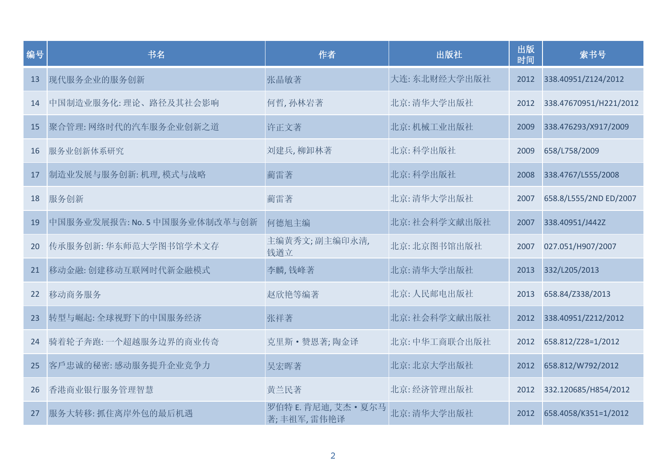| 编号 | 书名                            | 作者                               | 出版社           | 出版<br>时间 | 索书号                    |
|----|-------------------------------|----------------------------------|---------------|----------|------------------------|
| 13 | 现代服务企业的服务创新                   | 张晶敏著                             | 大连: 东北财经大学出版社 | 2012     | 338.40951/Z124/2012    |
| 14 | 中国制造业服务化: 理论、路径及其社会影响         | 何哲,孙林岩著                          | 北京: 清华大学出版社   | 2012     | 338.47670951/H221/2012 |
| 15 | 聚合管理: 网络时代的汽车服务企业创新之道         | 许正文著                             | 北京: 机械工业出版社   | 2009     | 338.476293/X917/2009   |
| 16 | 服务业创新体系研究                     | 刘建兵,柳卸林著                         | 北京:科学出版社      | 2009     | 658/L758/2009          |
| 17 | 制造业发展与服务创新: 机理, 模式与战略         | 蔺雷著                              | 北京:科学出版社      | 2008     | 338.4767/L555/2008     |
| 18 | 服务创新                          | 蔺雷著                              | 北京: 清华大学出版社   | 2007     | 658.8/L555/2ND ED/2007 |
| 19 | 中国服务业发展报告: No. 5 中国服务业体制改革与创新 | 何德旭主编                            | 北京:社会科学文献出版社  | 2007     | 338.40951/J442Z        |
| 20 | 传承服务创新: 华东师范大学图书馆学术文存         | 主编黄秀文;副主编印永清,<br>钱遒立             | 北京: 北京图书馆出版社  | 2007     | 027.051/H907/2007      |
| 21 | 移动金融: 创建移动互联网时代新金融模式          | 李麟,钱峰著                           | 北京: 清华大学出版社   | 2013     | 332/L205/2013          |
| 22 | 移动商务服务                        | 赵欣艳等编著                           | 北京: 人民邮电出版社   | 2013     | 658.84/Z338/2013       |
| 23 | 转型与崛起:全球视野下的中国服务经济            | 张祥著                              | 北京:社会科学文献出版社  | 2012     | 338.40951/Z212/2012    |
| 24 | 骑着轮子奔跑: 一个超越服务边界的商业传奇         | 克里斯 · 赞恩著;陶金译                    | 北京:中华工商联合出版社  | 2012     | 658.812/Z28=1/2012     |
| 25 | 客戶忠诚的秘密: 感动服务提升企业竞争力          | 吴宏晖著                             | 北京: 北京大学出版社   | 2012     | 658.812/W792/2012      |
| 26 | 香港商业银行服务管理智慧                  | 黄兰民著                             | 北京:经济管理出版社    | 2012     | 332.120685/H854/2012   |
| 27 | 服务大转移: 抓住离岸外包的最后机遇            | 罗伯特 E. 肯尼迪, 艾杰·夏尔马<br>著;丰祖军,雷伟艳译 | 北京: 清华大学出版社   | 2012     | 658.4058/K351=1/2012   |